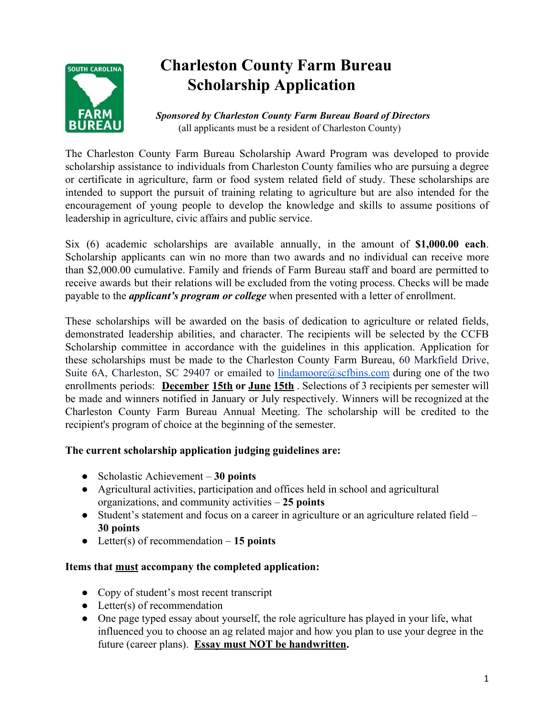

# **Charleston County Farm Bureau Scholarship Application**

 *Sponsored by Charleston County Farm Bureau Board of Directors* (all applicants must be a resident of Charleston County)

The Charleston County Farm Bureau Scholarship Award Program was developed to provide scholarship assistance to individuals from Charleston County families who are pursuing a degree or certificate in agriculture, farm or food system related field of study. These scholarships are intended to support the pursuit of training relating to agriculture but are also intended for the encouragement of young people to develop the knowledge and skills to assume positions of leadership in agriculture, civic affairs and public service.

Six (6) academic scholarships are available annually, in the amount of **\$1,000.00 each**. Scholarship applicants can win no more than two awards and no individual can receive more than \$2,000.00 cumulative. Family and friends of Farm Bureau staff and board are permitted to receive awards but their relations will be excluded from the voting process. Checks will be made payable to the *applicant's program or college* when presented with a letter of enrollment.

These scholarships will be awarded on the basis of dedication to agriculture or related fields, demonstrated leadership abilities, and character. The recipients will be selected by the CCFB Scholarship committee in accordance with the guidelines in this application. Application for these scholarships must be made to the Charleston County Farm Bureau, 60 Markfield Drive, Suite 6A, Charleston, SC 29407 or emailed to **[lindamoore@scfbins.com](mailto:lindamoore@scfbins.com)** during one of the two enrollments periods: **December 15th or June 15th** . Selections of 3 recipients per semester will be made and winners notified in January or July respectively. Winners will be recognized at the Charleston County Farm Bureau Annual Meeting. The scholarship will be credited to the recipient's program of choice at the beginning of the semester.

### **The current scholarship application judging guidelines are:**

- Scholastic Achievement **30 points**
- Agricultural activities, participation and offices held in school and agricultural organizations, and community activities – **25 points**
- Student's statement and focus on a career in agriculture or an agriculture related field **30 points**
- Letter(s) of recommendation **15 points**

#### **Items that must accompany the completed application:**

- Copy of student's most recent transcript
- $\bullet$  Letter(s) of recommendation
- One page typed essay about yourself, the role agriculture has played in your life, what influenced you to choose an ag related major and how you plan to use your degree in the future (career plans). **Essay must NOT be handwritten.**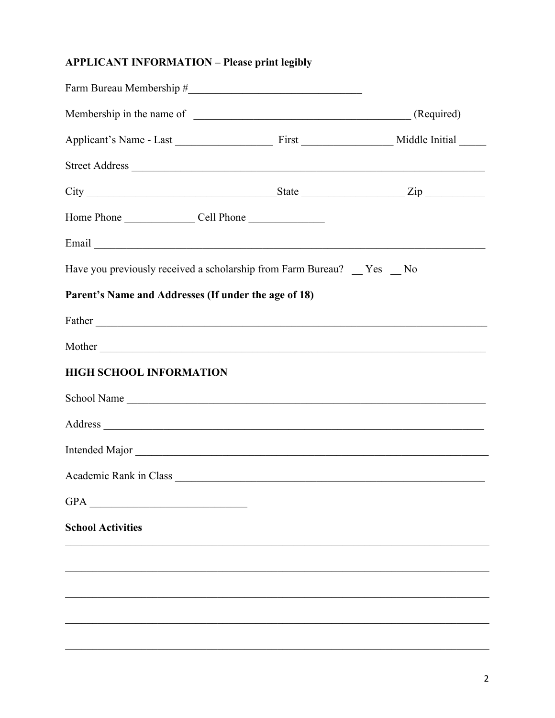# **APPLICANT INFORMATION - Please print legibly**

| Have you previously received a scholarship from Farm Bureau? _ Yes _ No |  |
|-------------------------------------------------------------------------|--|
| Parent's Name and Addresses (If under the age of 18)                    |  |
|                                                                         |  |
|                                                                         |  |
| <b>HIGH SCHOOL INFORMATION</b>                                          |  |
|                                                                         |  |
|                                                                         |  |
| Intended Major                                                          |  |
|                                                                         |  |
| GPA<br><u> 1980 - Jan Stein Berlin, amerikan berlin besteht a</u>       |  |
| <b>School Activities</b>                                                |  |
|                                                                         |  |
|                                                                         |  |
|                                                                         |  |
|                                                                         |  |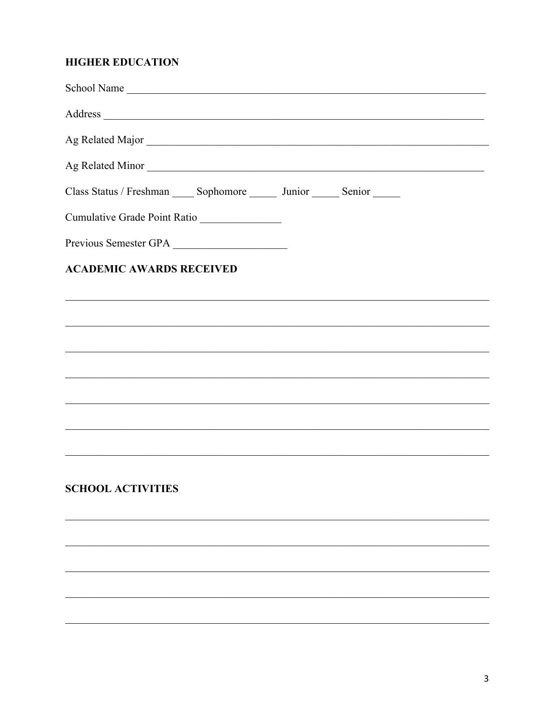## **HIGHER EDUCATION**

| School Name                                                                                                          |  |  |
|----------------------------------------------------------------------------------------------------------------------|--|--|
|                                                                                                                      |  |  |
|                                                                                                                      |  |  |
| Ag Related Minor                                                                                                     |  |  |
| Class Status / Freshman ______ Sophomore _______ Junior ______ Senior ______                                         |  |  |
| Cumulative Grade Point Ratio                                                                                         |  |  |
| Previous Semester GPA                                                                                                |  |  |
| <b>ACADEMIC AWARDS RECEIVED</b>                                                                                      |  |  |
| <u> 1989 - Johann Barn, amerikan basar basa dalam basa dalam basa dalam basa dalam basa dalam basa dalam basa da</u> |  |  |
|                                                                                                                      |  |  |
|                                                                                                                      |  |  |
|                                                                                                                      |  |  |
|                                                                                                                      |  |  |
|                                                                                                                      |  |  |
| a se de la construcción de la construcción de la construcción de la construcción de la construcción de la cons       |  |  |
|                                                                                                                      |  |  |
| <b>SCHOOL ACTIVITIES</b>                                                                                             |  |  |
|                                                                                                                      |  |  |
|                                                                                                                      |  |  |

a se provincia de la construcción de la construcción de la construcción de la construcción de la construcción

 $\overline{\phantom{a}}$